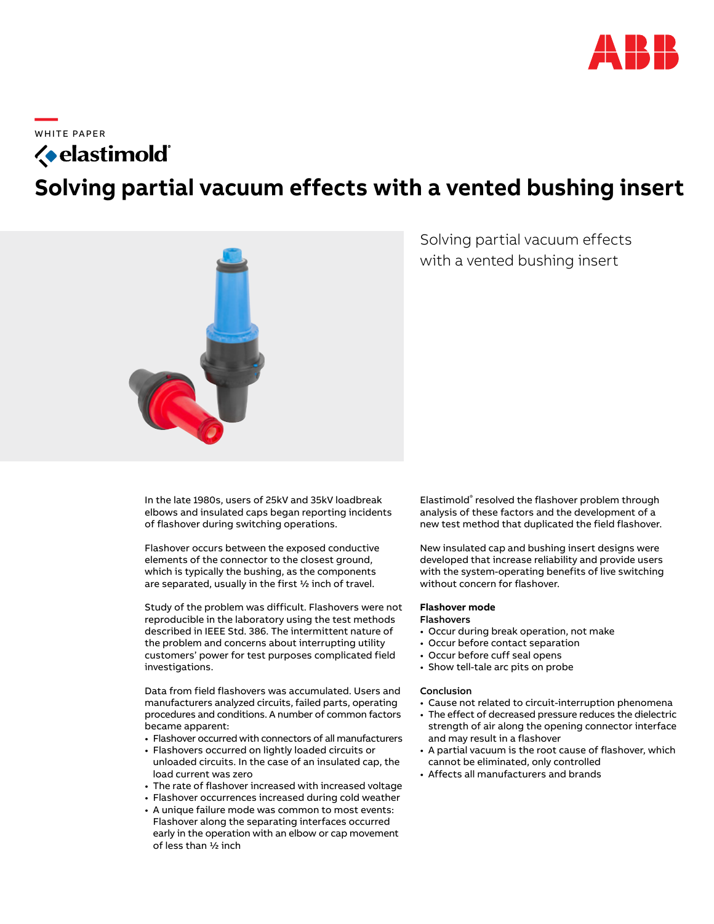

**—**  W H ITE PA PER

# *<u>{*• elastimold</u> **Solving partial vacuum effects with a vented bushing insert**



Solving partial vacuum effects with a vented bushing insert

In the late 1980s, users of 25kV and 35kV loadbreak elbows and insulated caps began reporting incidents of flashover during switching operations.

Flashover occurs between the exposed conductive elements of the connector to the closest ground, which is typically the bushing, as the components are separated, usually in the first ½ inch of travel.

Study of the problem was difficult. Flashovers were not reproducible in the laboratory using the test methods described in IEEE Std. 386. The intermittent nature of the problem and concerns about interrupting utility customers' power for test purposes complicated field investigations.

Data from field flashovers was accumulated. Users and manufacturers analyzed circuits, failed parts, operating procedures and conditions. A number of common factors became apparent:

- Flashover occurred with connectors of all manufacturers
- Flashovers occurred on lightly loaded circuits or unloaded circuits. In the case of an insulated cap, the load current was zero
- The rate of flashover increased with increased voltage
- Flashover occurrences increased during cold weather
- A unique failure mode was common to most events: Flashover along the separating interfaces occurred early in the operation with an elbow or cap movement of less than ½ inch

Elastimold® resolved the flashover problem through analysis of these factors and the development of a new test method that duplicated the field flashover.

New insulated cap and bushing insert designs were developed that increase reliability and provide users with the system-operating benefits of live switching without concern for flashover.

# **Flashover mode**

# Flashovers

- Occur during break operation, not make
- Occur before contact separation
- Occur before cuff seal opens
- Show tell-tale arc pits on probe

## Conclusion

- Cause not related to circuit-interruption phenomena
- The effect of decreased pressure reduces the dielectric strength of air along the opening connector interface and may result in a flashover
- A partial vacuum is the root cause of flashover, which cannot be eliminated, only controlled
- Affects all manufacturers and brands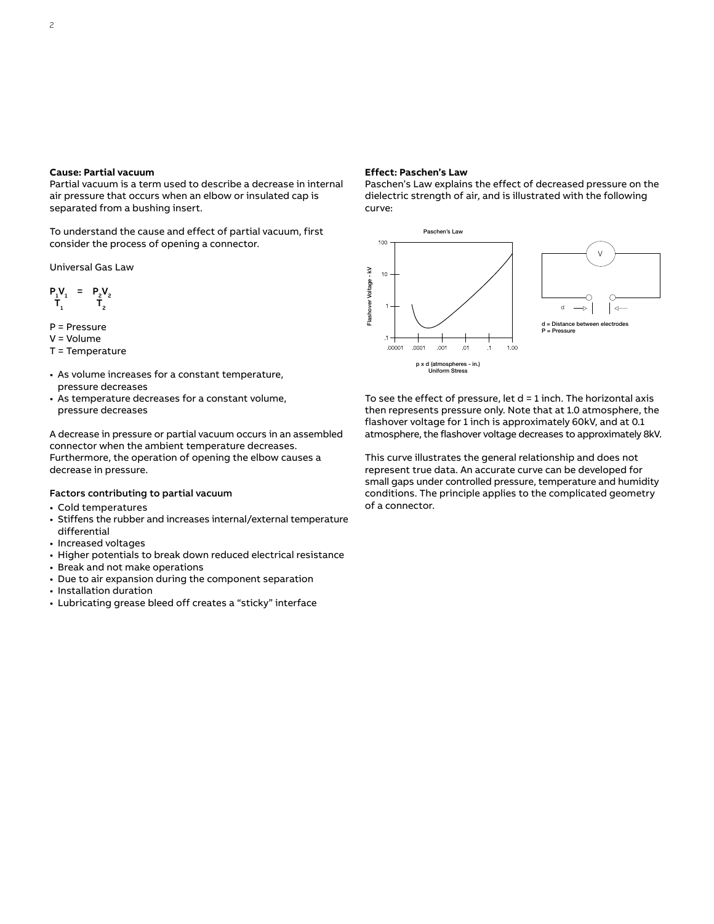Partial vacuum is a term used to describe a decrease in internal air pressure that occurs when an elbow or insulated cap is separated from a bushing insert.

To understand the cause and effect of partial vacuum, first consider the process of opening a connector.

Universal Gas Law

$$
\begin{array}{ccc} P_1V_1 & = & P_2V_2 \\ T_1 & & T_2 \end{array}
$$

- P = Pressure
- V = Volume
- T = Temperature
- As volume increases for a constant temperature, pressure decreases
- As temperature decreases for a constant volume, pressure decreases

A decrease in pressure or partial vacuum occurs in an assembled connector when the ambient temperature decreases. Furthermore, the operation of opening the elbow causes a decrease in pressure.

# Factors contributing to partial vacuum

- Cold temperatures
- Stiffens the rubber and increases internal/external temperature differential
- Increased voltages
- Higher potentials to break down reduced electrical resistance
- Break and not make operations
- Due to air expansion during the component separation
- Installation duration
- Lubricating grease bleed off creates a "sticky" interface

# **Effect: Paschen's Law**

Paschen's Law explains the effect of decreased pressure on the dielectric strength of air, and is illustrated with the following curve:



To see the effect of pressure, let  $d = 1$  inch. The horizontal axis then represents pressure only. Note that at 1.0 atmosphere, the flashover voltage for 1 inch is approximately 60kV, and at 0.1 atmosphere, the flashover voltage decreases to approximately 8kV.

This curve illustrates the general relationship and does not represent true data. An accurate curve can be developed for small gaps under controlled pressure, temperature and humidity conditions. The principle applies to the complicated geometry of a connector.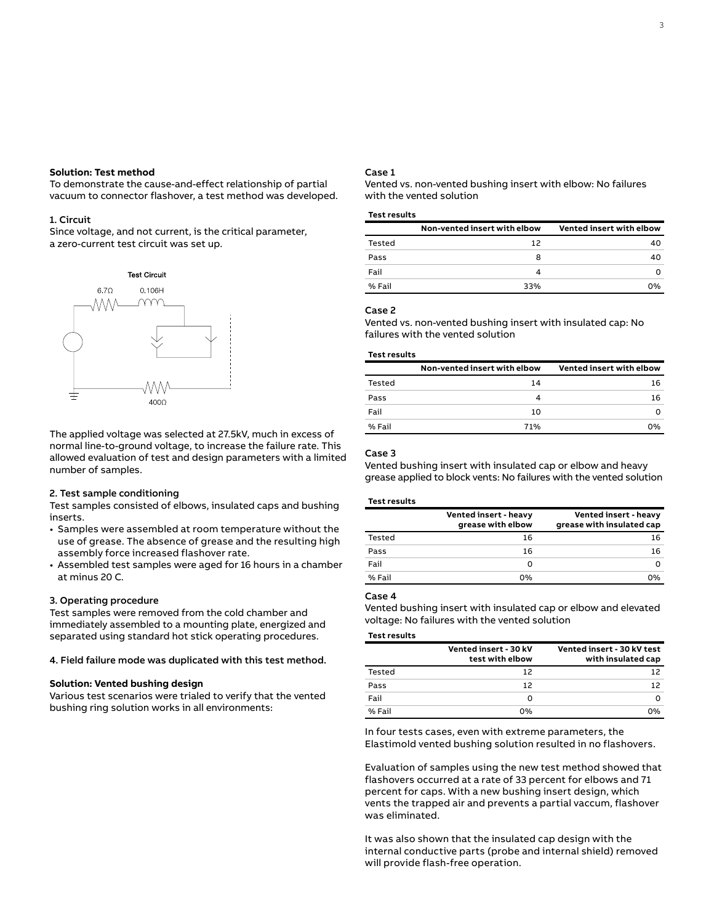# **Solution: Test method**

To demonstrate the cause-and-effect relationship of partial vacuum to connector flashover, a test method was developed.

#### 1. Circuit

Since voltage, and not current, is the critical parameter, a zero-current test circuit was set up.



The applied voltage was selected at 27.5kV, much in excess of normal line-to-ground voltage, to increase the failure rate. This allowed evaluation of test and design parameters with a limited number of samples.

## 2. Test sample conditioning

Test samples consisted of elbows, insulated caps and bushing inserts.

- Samples were assembled at room temperature without the use of grease. The absence of grease and the resulting high assembly force increased flashover rate.
- Assembled test samples were aged for 16 hours in a chamber at minus 20 C.

## 3. Operating procedure

Test samples were removed from the cold chamber and immediately assembled to a mounting plate, energized and separated using standard hot stick operating procedures.

# 4. Field failure mode was duplicated with this test method.

## **Solution: Vented bushing design**

Various test scenarios were trialed to verify that the vented bushing ring solution works in all environments:

# Case 1

Vented vs. non-vented bushing insert with elbow: No failures with the vented solution

#### **Test results**

|        | Non-vented insert with elbow | Vented insert with elbow |
|--------|------------------------------|--------------------------|
| Tested | 12                           | 40                       |
| Pass   | 8                            | 40                       |
| Fail   |                              | O                        |
| % Fail | 33%                          | ሰ%                       |

#### Case 2

Vented vs. non-vented bushing insert with insulated cap: No failures with the vented solution

## **Test results**

|        | Non-vented insert with elbow | Vented insert with elbow |
|--------|------------------------------|--------------------------|
| Tested | 14                           | 16                       |
| Pass   |                              | 16                       |
| Fail   | 10                           |                          |
| % Fail | 71%                          | 0%                       |

## Case 3

Vented bushing insert with insulated cap or elbow and heavy grease applied to block vents: No failures with the vented solution

#### **Test results**

|        | Vented insert - heavy<br>grease with elbow | Vented insert - heavy<br>grease with insulated cap |
|--------|--------------------------------------------|----------------------------------------------------|
| Tested | 16                                         | 16                                                 |
| Pass   | 16                                         | 16                                                 |
| Fail   | O                                          | O                                                  |
| % Fail | 0%                                         | 0%                                                 |

# Case 4

Vented bushing insert with insulated cap or elbow and elevated voltage: No failures with the vented solution

#### **Test results**

|        | Vented insert - 30 kV<br>test with elbow | Vented insert - 30 kV test<br>with insulated cap |
|--------|------------------------------------------|--------------------------------------------------|
| Tested | 12                                       | 12                                               |
| Pass   | 12                                       | 12                                               |
| Fail   |                                          | O                                                |
| % Fail | 0%                                       | 0%                                               |

In four tests cases, even with extreme parameters, the Elastimold vented bushing solution resulted in no flashovers.

Evaluation of samples using the new test method showed that flashovers occurred at a rate of 33 percent for elbows and 71 percent for caps. With a new bushing insert design, which vents the trapped air and prevents a partial vaccum, flashover was eliminated.

It was also shown that the insulated cap design with the internal conductive parts (probe and internal shield) removed will provide flash-free operation.